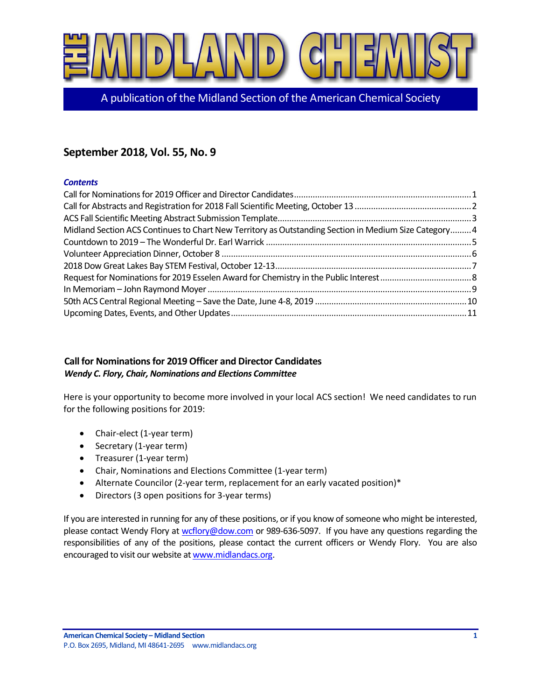

A publication of the Midland Section of the American Chemical Society

# **September 2018, Vol. 55, No. 9**

## *Contents*

| Midland Section ACS Continues to Chart New Territory as Outstanding Section in Medium Size Category4 |  |
|------------------------------------------------------------------------------------------------------|--|
|                                                                                                      |  |
|                                                                                                      |  |
|                                                                                                      |  |
|                                                                                                      |  |
|                                                                                                      |  |
|                                                                                                      |  |
|                                                                                                      |  |

# <span id="page-0-0"></span>**Call for Nominations for 2019 Officer and Director Candidates** *Wendy C. Flory, Chair, Nominations and Elections Committee*

Here is your opportunity to become more involved in your local ACS section! We need candidates to run for the following positions for 2019:

- Chair-elect (1-year term)
- Secretary (1-year term)
- Treasurer (1-year term)
- Chair, Nominations and Elections Committee (1-year term)
- Alternate Councilor (2-year term, replacement for an early vacated position)\*
- Directors (3 open positions for 3-year terms)

If you are interested in running for any of these positions, or if you know of someone who might be interested, please contact Wendy Flory a[t wcflory@dow.com](mailto:wcflory@dow.com) or 989-636-5097. If you have any questions regarding the responsibilities of any of the positions, please contact the current officers or Wendy Flory. You are also encouraged to visit our website a[t www.midlandacs.org.](http://www.midlandacs.org/)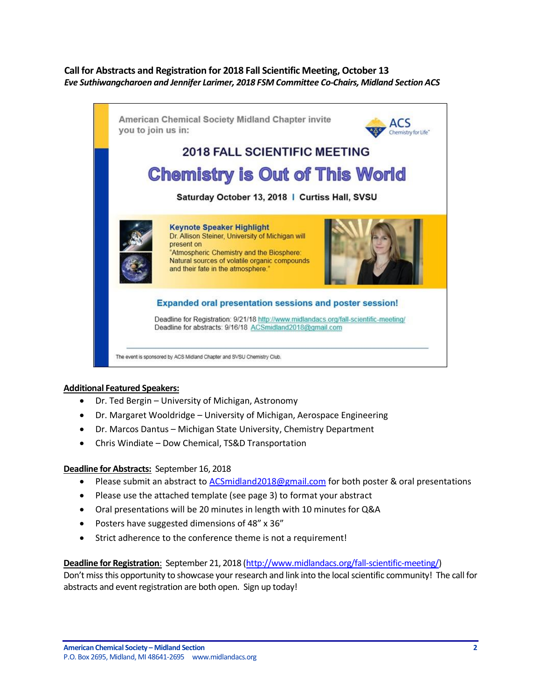## <span id="page-1-0"></span>**Call for Abstracts and Registration for 2018 Fall Scientific Meeting, October 13** *Eve Suthiwangcharoen and Jennifer Larimer, 2018 FSM Committee Co-Chairs, Midland Section ACS*



#### **Additional Featured Speakers:**

- Dr. Ted Bergin University of Michigan, Astronomy
- Dr. Margaret Wooldridge University of Michigan, Aerospace Engineering
- Dr. Marcos Dantus Michigan State University, Chemistry Department
- Chris Windiate Dow Chemical, TS&D Transportation

#### **Deadline for Abstracts:** September 16, 2018

- Please submit an abstract to **ACSmidland2018@gmail.com for both poster & oral presentations**
- Please use the attached template (see page 3) to format your abstract
- Oral presentations will be 20 minutes in length with 10 minutes for Q&A
- Posters have suggested dimensions of 48" x 36"
- Strict adherence to the conference theme is not a requirement!

#### **Deadline for Registration**: September 21, 2018 [\(http://www.midlandacs.org/fall-scientific-meeting/\)](http://www.midlandacs.org/fall-scientific-meeting/)

Don't miss this opportunity to showcase your research and link into the local scientific community! The call for abstracts and event registration are both open. Sign up today!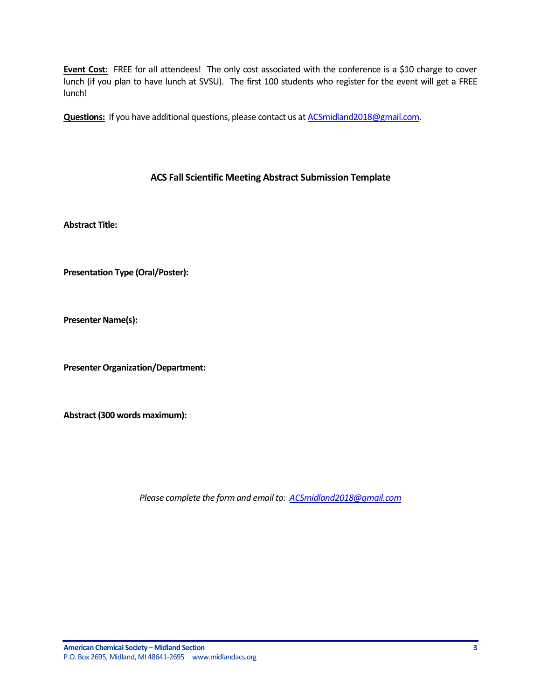**Event Cost:** FREE for all attendees! The only cost associated with the conference is a \$10 charge to cover lunch (if you plan to have lunch at SVSU). The first 100 students who register for the event will get a FREE lunch!

**Questions:** If you have additional questions, please contact us at **ACSmidland2018@gmail.com.** 

## **ACS Fall Scientific Meeting Abstract Submission Template**

<span id="page-2-0"></span>**Abstract Title:**

**Presentation Type (Oral/Poster):**

**Presenter Name(s):**

**Presenter Organization/Department:**

**Abstract (300 words maximum):**

*Please complete the form and email to: [ACSmidland2018@gmail.com](mailto:ACSmidland2018@gmail.com)*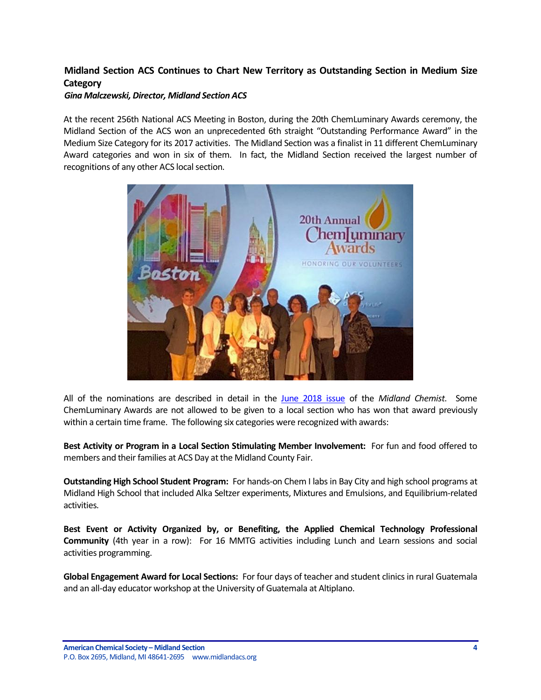# <span id="page-3-0"></span>**Midland Section ACS Continues to Chart New Territory as Outstanding Section in Medium Size Category**

#### *Gina Malczewski, Director, Midland Section ACS*

At the recent 256th National ACS Meeting in Boston, during the 20th ChemLuminary Awards ceremony, the Midland Section of the ACS won an unprecedented 6th straight "Outstanding Performance Award" in the Medium Size Category for its 2017 activities. The Midland Section was a finalist in 11 different ChemLuminary Award categories and won in six of them. In fact, the Midland Section received the largest number of recognitions of any other ACS local section.



All of the nominations are described in detail in the [June 2018 issue](http://www.midlandacs.org/wp-content/uploads/Newsletter/2018/2018JunMC.pdf) of the *Midland Chemist*. Some ChemLuminary Awards are not allowed to be given to a local section who has won that award previously within a certain time frame. The following six categories were recognized with awards:

**Best Activity or Program in a Local Section Stimulating Member Involvement:** For fun and food offered to members and their families at ACS Day at the Midland County Fair.

**Outstanding High School Student Program:** For hands-on Chem I labs in Bay City and high school programs at Midland High School that included Alka Seltzer experiments, Mixtures and Emulsions, and Equilibrium-related activities.

**Best Event or Activity Organized by, or Benefiting, the Applied Chemical Technology Professional Community** (4th year in a row): For 16 MMTG activities including Lunch and Learn sessions and social activities programming.

**Global Engagement Award for Local Sections:** For four days of teacher and student clinics in rural Guatemala and an all-day educator workshop at the University of Guatemala at Altiplano.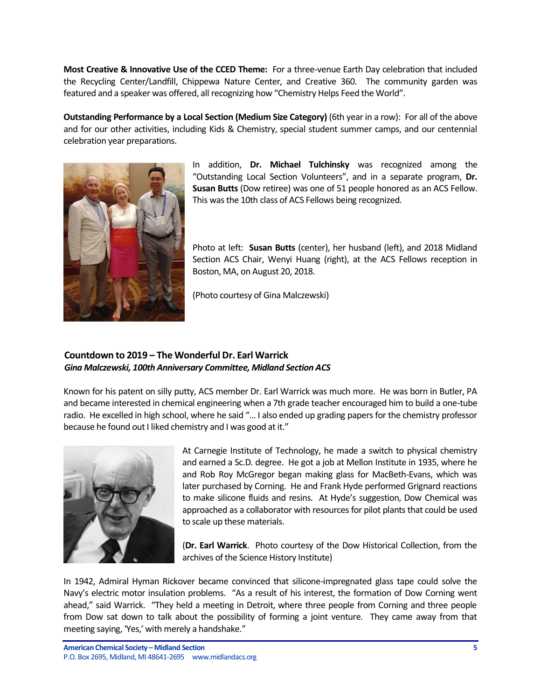**Most Creative & Innovative Use of the CCED Theme:** For a three-venue Earth Day celebration that included the Recycling Center/Landfill, Chippewa Nature Center, and Creative 360. The community garden was featured and a speaker was offered, all recognizing how "Chemistry Helps Feed the World".

**Outstanding Performance by a Local Section (Medium Size Category)** (6th year in a row): For all of the above and for our other activities, including Kids & Chemistry, special student summer camps, and our centennial celebration year preparations.



In addition, **Dr. Michael Tulchinsky** was recognized among the "Outstanding Local Section Volunteers", and in a separate program, **Dr. Susan Butts** (Dow retiree) was one of 51 people honored as an ACS Fellow. This was the 10th class of ACS Fellows being recognized.

Photo at left: **Susan Butts** (center), her husband (left), and 2018 Midland Section ACS Chair, Wenyi Huang (right), at the ACS Fellows reception in Boston, MA, on August 20, 2018.

(Photo courtesy of Gina Malczewski)

# <span id="page-4-0"></span>**Countdown to 2019 – The Wonderful Dr. Earl Warrick** *Gina Malczewski, 100th Anniversary Committee, Midland Section ACS*

Known for his patent on silly putty, ACS member Dr. Earl Warrick was much more. He was born in Butler, PA and became interested in chemical engineering when a 7th grade teacher encouraged him to build a one-tube radio. He excelled in high school, where he said "… I also ended up grading papers for the chemistry professor because he found out I liked chemistry and I was good at it."



At Carnegie Institute of Technology, he made a switch to physical chemistry and earned a Sc.D. degree. He got a job at Mellon Institute in 1935, where he and Rob Roy McGregor began making glass for MacBeth-Evans, which was later purchased by Corning. He and Frank Hyde performed Grignard reactions to make silicone fluids and resins. At Hyde's suggestion, Dow Chemical was approached as a collaborator with resources for pilot plants that could be used to scale up these materials.

(**Dr. Earl Warrick**. Photo courtesy of the Dow Historical Collection, from the archives of the Science History Institute)

In 1942, Admiral Hyman Rickover became convinced that silicone-impregnated glass tape could solve the Navy's electric motor insulation problems. "As a result of his interest, the formation of Dow Corning went ahead," said Warrick. "They held a meeting in Detroit, where three people from Corning and three people from Dow sat down to talk about the possibility of forming a joint venture. They came away from that meeting saying, 'Yes,' with merely a handshake."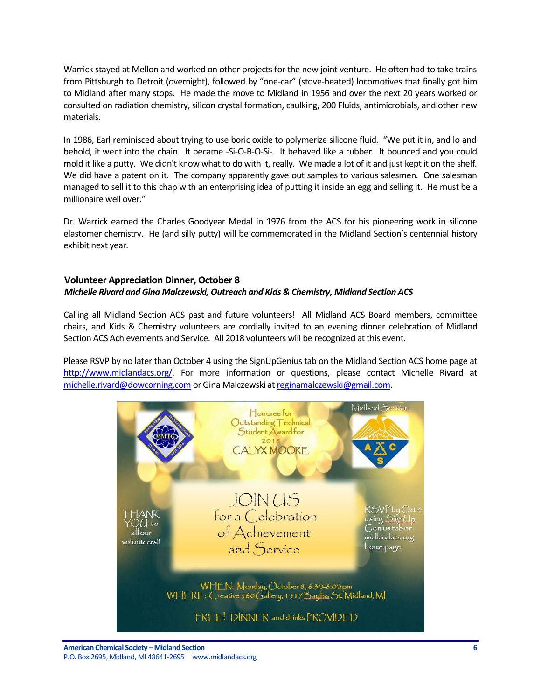Warrick stayed at Mellon and worked on other projects for the new joint venture. He often had to take trains from Pittsburgh to Detroit (overnight), followed by "one-car" (stove-heated) locomotives that finally got him to Midland after many stops. He made the move to Midland in 1956 and over the next 20 years worked or consulted on radiation chemistry, silicon crystal formation, caulking, 200 Fluids, antimicrobials, and other new materials.

In 1986, Earl reminisced about trying to use boric oxide to polymerize silicone fluid. "We put it in, and lo and behold, it went into the chain. It became -Si-O-B-O-Si-. It behaved like a rubber. It bounced and you could mold it like a putty. We didn't know what to do with it, really. We made a lot of it and just kept it on the shelf. We did have a patent on it. The company apparently gave out samples to various salesmen. One salesman managed to sell it to this chap with an enterprising idea of putting it inside an egg and selling it. He must be a millionaire well over."

Dr. Warrick earned the Charles Goodyear Medal in 1976 from the ACS for his pioneering work in silicone elastomer chemistry. He (and silly putty) will be commemorated in the Midland Section's centennial history exhibit next year.

## <span id="page-5-0"></span>**Volunteer Appreciation Dinner, October 8** *Michelle Rivard and Gina Malczewski, Outreach and Kids & Chemistry, Midland Section ACS*

Calling all Midland Section ACS past and future volunteers! All Midland ACS Board members, committee chairs, and Kids & Chemistry volunteers are cordially invited to an evening dinner celebration of Midland Section ACS Achievements and Service. All 2018 volunteers will be recognized at this event.

Please RSVP by no later than October 4 using the SignUpGenius tab on the Midland Section ACS home page at [http://www.midlandacs.org/.](http://www.midlandacs.org/) For more information or questions, please contact Michelle Rivard at [michelle.rivard@dowcorning.com](mailto:michelle.rivard@dowcorning.com) or Gina Malczewski a[t reginamalczewski@gmail.com.](mailto:reginamalczewski@gmail.com)

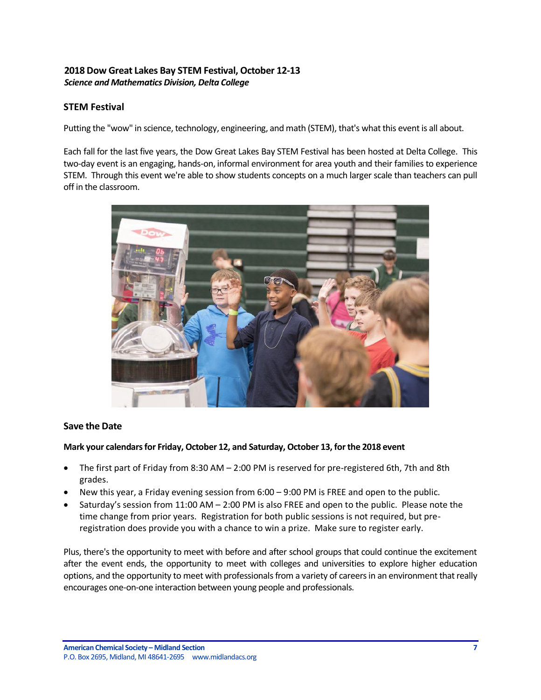# <span id="page-6-0"></span>**2018 Dow Great Lakes Bay STEM Festival, October 12-13** *Science and Mathematics Division, Delta College*

# **STEM Festival**

Putting the "wow" in science, technology, engineering, and math (STEM), that's what this event is all about.

Each fall for the last five years, the Dow Great Lakes Bay STEM Festival has been hosted at Delta College. This two-day event is an engaging, hands-on, informal environment for area youth and their families to experience STEM. Through this event we're able to show students concepts on a much larger scale than teachers can pull off in the classroom.



#### **Save the Date**

#### **Mark your calendars for Friday, October 12, and Saturday, October 13, for the 2018 event**

- The first part of Friday from 8:30 AM 2:00 PM is reserved for pre-registered 6th, 7th and 8th grades.
- New this year, a Friday evening session from 6:00 9:00 PM is FREE and open to the public.
- Saturday's session from 11:00 AM 2:00 PM is also FREE and open to the public. Please note the time change from prior years. Registration for both public sessions is not required, but preregistration does provide you with a chance to win a prize. Make sure to register early.

Plus, there's the opportunity to meet with before and after school groups that could continue the excitement after the event ends, the opportunity to meet with colleges and universities to explore higher education options, and the opportunity to meet with professionals from a variety of careers in an environment that really encourages one-on-one interaction between young people and professionals.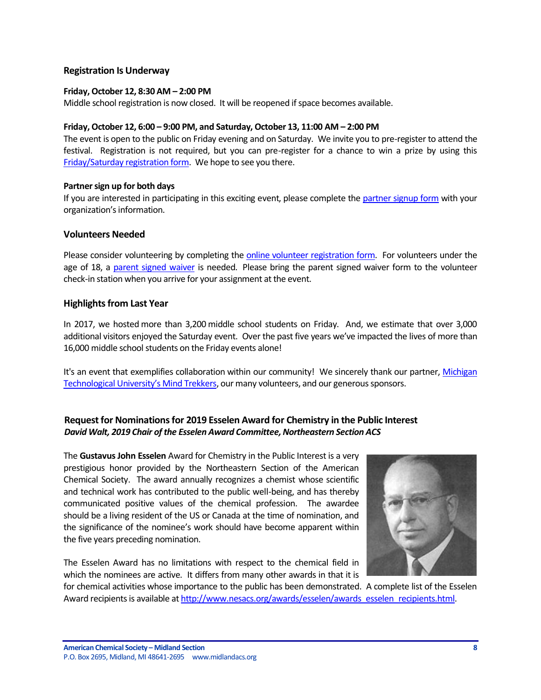#### **Registration Is Underway**

#### **Friday, October 12, 8:30 AM – 2:00 PM**

Middle school registration is now closed. It will be reopened if space becomes available.

#### **Friday, October 12, 6:00 – 9:00 PM, and Saturday, October 13, 11:00 AM – 2:00 PM**

The event is open to the public on Friday evening and on Saturday. We invite you to pre-register to attend the festival. Registration is not required, but you can pre-register for a chance to win a prize by using this [Friday/Saturday registration form.](https://www.eventbrite.com/e/2018-dow-great-lakes-bay-stem-festival-delta-college-open-to-the-public-registration-44371721012) We hope to see you there.

#### **Partner sign up for both days**

If you are interested in participating in this exciting event, please complete th[e partner signup form](https://docs.google.com/forms/d/1mGBkYQs5k6NoqoRXYNeiQdBlPXRwCqlKh3ZjwPJgDtA/viewform?edit_requested=true#responses) with your organization's information.

#### **Volunteers Needed**

Please consider volunteering by completing th[e online volunteer registration form.](https://signup.com/client/invitation2/secure/2070076/false#/invitation) For volunteers under the age of 18, a [parent signed waiver](http://www.delta.edu/community/youth-programs/stem/_documents/delta-college-minor-release.pdf) is needed. Please bring the parent signed waiver form to the volunteer check-in station when you arrive for your assignment at the event.

#### **Highlights from Last Year**

In 2017, we hosted more than 3,200 middle school students on Friday. And, we estimate that over 3,000 additional visitors enjoyed the Saturday event. Over the past five years we've impacted the lives of more than 16,000 middle school students on the Friday events alone!

It's an event that exemplifies collaboration within our community! We sincerely thank our partner, [Michigan](http://www.mindtrekkers.mtu.edu/)  [Technological University's Mind Trekkers](http://www.mindtrekkers.mtu.edu/), our many volunteers, and our generous sponsors.

# <span id="page-7-0"></span>**Request for Nominations for 2019 Esselen Award for Chemistry in the Public Interest** *David Walt, 2019 Chair of the Esselen Award Committee, Northeastern Section ACS*

The **Gustavus John Esselen** Award for Chemistry in the Public Interest is a very prestigious honor provided by the Northeastern Section of the American Chemical Society. The award annually recognizes a chemist whose scientific and technical work has contributed to the public well-being, and has thereby communicated positive values of the chemical profession. The awardee should be a living resident of the US or Canada at the time of nomination, and the significance of the nominee's work should have become apparent within the five years preceding nomination.

The Esselen Award has no limitations with respect to the chemical field in which the nominees are active. It differs from many other awards in that it is



for chemical activities whose importance to the public has been demonstrated. A complete list of the Esselen Award recipients is available a[t http://www.nesacs.org/awards/esselen/awards\\_esselen\\_recipients.html.](http://www.nesacs.org/awards/esselen/awards_esselen_recipients.html)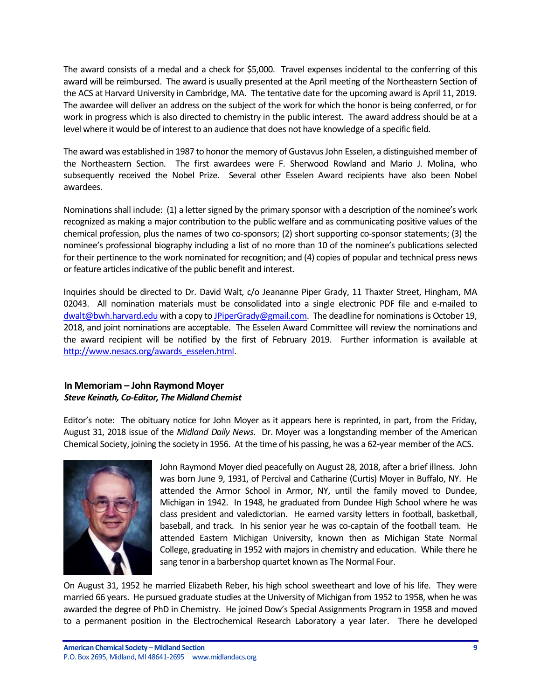The award consists of a medal and a check for \$5,000. Travel expenses incidental to the conferring of this award will be reimbursed. The award is usually presented at the April meeting of the Northeastern Section of the ACS at Harvard University in Cambridge, MA. The tentative date for the upcoming award is April 11, 2019. The awardee will deliver an address on the subject of the work for which the honor is being conferred, or for work in progress which is also directed to chemistry in the public interest. The award address should be at a level where it would be of interest to an audience that does not have knowledge of a specific field.

The award was established in 1987 to honor the memory of Gustavus John Esselen, a distinguished member of the Northeastern Section. The first awardees were F. Sherwood Rowland and Mario J. Molina, who subsequently received the Nobel Prize. Several other Esselen Award recipients have also been Nobel awardees.

Nominations shall include: (1) a letter signed by the primary sponsor with a description of the nominee's work recognized as making a major contribution to the public welfare and as communicating positive values of the chemical profession, plus the names of two co-sponsors; (2) short supporting co-sponsor statements; (3) the nominee's professional biography including a list of no more than 10 of the nominee's publications selected for their pertinence to the work nominated for recognition; and (4) copies of popular and technical press news or feature articles indicative of the public benefit and interest.

Inquiries should be directed to Dr. David Walt, c/o Jeananne Piper Grady, 11 Thaxter Street, Hingham, MA 02043. All nomination materials must be consolidated into a single electronic PDF file and e-mailed to [dwalt@bwh.harvard.edu](mailto:dwalt@bwh.harvard.edu) with a copy to [JPiperGrady@gmail.com.](mailto:JPiperGrady@gmail.com) The deadline for nominations is October 19, 2018, and joint nominations are acceptable. The Esselen Award Committee will review the nominations and the award recipient will be notified by the first of February 2019. Further information is available at [http://www.nesacs.org/awards\\_esselen.html.](http://www.nesacs.org/awards_esselen.html)

# <span id="page-8-0"></span>**In Memoriam – John Raymond Moyer** *Steve Keinath, Co-Editor, The Midland Chemist*

Editor's note: The obituary notice for John Moyer as it appears here is reprinted, in part, from the Friday, August 31, 2018 issue of the *Midland Daily News*. Dr. Moyer was a longstanding member of the American Chemical Society, joining the society in 1956. At the time of his passing, he was a 62-year member of the ACS.



John Raymond Moyer died peacefully on August 28, 2018, after a brief illness. John was born June 9, 1931, of Percival and Catharine (Curtis) Moyer in Buffalo, NY. He attended the Armor School in Armor, NY, until the family moved to Dundee, Michigan in 1942. In 1948, he graduated from Dundee High School where he was class president and valedictorian. He earned varsity letters in football, basketball, baseball, and track. In his senior year he was co-captain of the football team. He attended Eastern Michigan University, known then as Michigan State Normal College, graduating in 1952 with majors in chemistry and education. While there he sang tenor in a barbershop quartet known as The Normal Four.

On August 31, 1952 he married Elizabeth Reber, his high school sweetheart and love of his life. They were married 66 years. He pursued graduate studies at the University of Michigan from 1952 to 1958, when he was awarded the degree of PhD in Chemistry. He joined Dow's Special Assignments Program in 1958 and moved to a permanent position in the Electrochemical Research Laboratory a year later. There he developed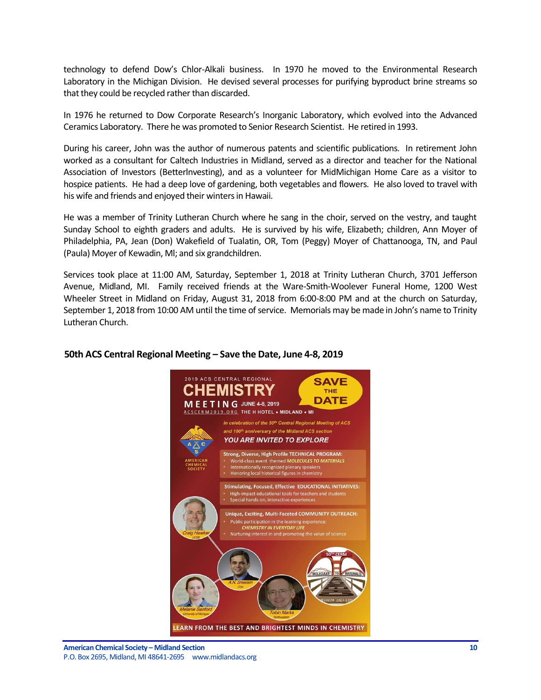technology to defend Dow's Chlor-Alkali business. In 1970 he moved to the Environmental Research Laboratory in the Michigan Division. He devised several processes for purifying byproduct brine streams so that they could be recycled rather than discarded.

In 1976 he returned to Dow Corporate Research's Inorganic Laboratory, which evolved into the Advanced Ceramics Laboratory. There he was promoted to Senior Research Scientist. He retired in 1993.

During his career, John was the author of numerous patents and scientific publications. In retirement John worked as a consultant for Caltech Industries in Midland, served as a director and teacher for the National Association of Investors (Betterlnvesting), and as a volunteer for MidMichigan Home Care as a visitor to hospice patients. He had a deep love of gardening, both vegetables and flowers. He also loved to travel with his wife and friends and enjoyed their winters in Hawaii.

He was a member of Trinity Lutheran Church where he sang in the choir, served on the vestry, and taught Sunday School to eighth graders and adults. He is survived by his wife, Elizabeth; children, Ann Moyer of Philadelphia, PA, Jean (Don) Wakefield of Tualatin, OR, Tom (Peggy) Moyer of Chattanooga, TN, and Paul (Paula) Moyer of Kewadin, Ml; and six grandchildren.

Services took place at 11:00 AM, Saturday, September 1, 2018 at Trinity Lutheran Church, 3701 Jefferson Avenue, Midland, MI. Family received friends at the Ware-Smith-Woolever Funeral Home, 1200 West Wheeler Street in Midland on Friday, August 31, 2018 from 6:00-8:00 PM and at the church on Saturday, September 1, 2018 from 10:00 AM until the time of service. Memorials may be made in John's name to Trinity Lutheran Church.

# 2019 ACS CENTRAL REGIONAL **SAVE** EMISTR **THE DATE** E E T I N G JUNE 4-8, 2019 CERM2019.ORG THE H HOTEL . MIDLAND . MI In celebration of the 50th Central Regional Meeting of ACS and 100<sup>th</sup> anniversary of the Midland ACS section YOU ARE INVITED TO EXPLORE Strong, Diverse, High Profile TECHNICAL PROGRAM: World-class event themed MOLECULES TO MATERIALS<br>Internationally recognized plenary speakers Honoring local historical figures in chemistry Stimulating, Focused, Effective EDUCATIONAL INITIATIVES: High-impact educational tools for teachers and studer<br>Special hands-on, interactive experiences Unique, Exciting, Multi-Faceted COMMUNITY OUTREACH: Public participation in the learning experience<br>CHEMISTRY IN EVERYDAY LIFE Nurturing interest in and promoting the value of science LEARN FROM THE BEST AND BRIGHTEST MINDS IN CHEMISTRY

#### <span id="page-9-0"></span>**50th ACS Central Regional Meeting – Save the Date, June 4-8, 2019**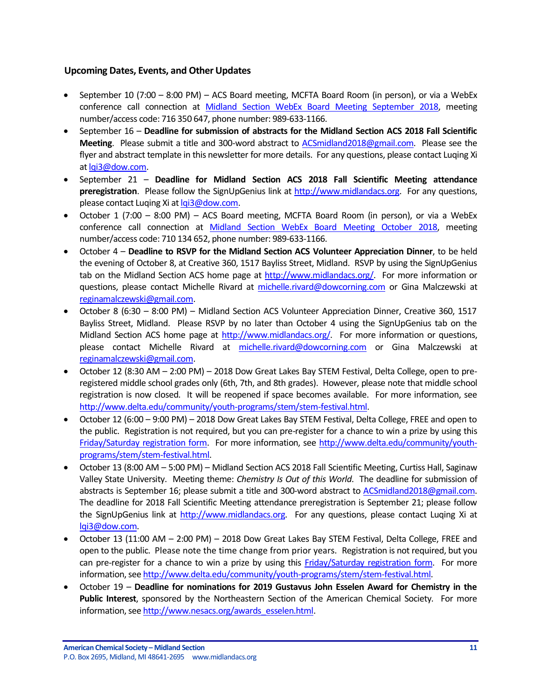# <span id="page-10-0"></span>**Upcoming Dates, Events, and Other Updates**

- September 10 (7:00 8:00 PM) ACS Board meeting, MCFTA Board Room (in person), or via a WebEx conference call connection at [Midland Section WebEx Board Meeting September 2018,](https://dow.webex.com/mw3100/mywebex/default.do?service=1&main_url=%2Fmc3100%2Fe.do%3Fsiteurl%3Ddow%26AT%3DMI%26EventID%3D665925557%26MTID%3Dmeb2e5aa3e3cd9e6a01ac88a5adced4d9%26Host%3DQUhTSwAAAAR2TBKD95ZBPlrrrIY8NW5Bp1eEto4JYMzrriK4MSRI5du6JaHi5HAeOVl754X6reEyyDSmGlK_wFkoGRmbtHwS0%26FrameSet%3D2&siteurl=dow&nomenu=true) meeting number/access code: 716 350 647, phone number: 989-633-1166.
- September 16 **Deadline for submission of abstracts for the Midland Section ACS 2018 Fall Scientific Meeting**. Please submit a title and 300-word abstract to [ACSmidland2018@gmail.com.](mailto:ACSmidland2018@gmail.com) Please see the flyer and abstract template in this newsletter for more details. For any questions, please contact Luqing Xi a[t lqi3@dow.com.](mailto:lqi3@dow.com)
- September 21 **Deadline for Midland Section ACS 2018 Fall Scientific Meeting attendance preregistration**. Please follow the SignUpGenius link at [http://www.midlandacs.org.](http://www.midlandacs.org/) For any questions, please contact Luqing Xi a[t lqi3@dow.com.](mailto:lqi3@dow.com)
- October 1 (7:00 8:00 PM) ACS Board meeting, MCFTA Board Room (in person), or via a WebEx conference call connection at [Midland Section WebEx Board Meeting October 2018,](https://dow.webex.com/mw3100/mywebex/default.do?service=1&main_url=%2Fmc3100%2Fe.do%3Fsiteurl%3Ddow%26AT%3DMI%26EventID%3D673694637%26MTID%3Dm5b73f739873ba5a1fec623d3d54f4f60%26Host%3DQUhTSwAAAATaoKe5Uas0kIGT4K88WrlMr2ycqKMCvyBDxqVuafUiZDnH33_2hkVMA1tq1aO94FxuVZ8BV8Op4YjTiN8E5c4g0%26FrameSet%3D2&siteurl=dow&nomenu=true) meeting number/access code: 710 134 652, phone number: 989-633-1166.
- October 4 **Deadline to RSVP for the Midland Section ACS Volunteer Appreciation Dinner**, to be held the evening of October 8, at Creative 360, 1517 Bayliss Street, Midland. RSVP by using the SignUpGenius tab on the Midland Section ACS home page at [http://www.midlandacs.org/.](http://www.midlandacs.org/) For more information or questions, please contact Michelle Rivard at [michelle.rivard@dowcorning.com](mailto:michelle.rivard@dowcorning.com) or Gina Malczewski at [reginamalczewski@gmail.com.](mailto:reginamalczewski@gmail.com)
- October 8 (6:30 8:00 PM) Midland Section ACS Volunteer Appreciation Dinner, Creative 360, 1517 Bayliss Street, Midland. Please RSVP by no later than October 4 using the SignUpGenius tab on the Midland Section ACS home page at [http://www.midlandacs.org/.](http://www.midlandacs.org/) For more information or questions, please contact Michelle Rivard at [michelle.rivard@dowcorning.com](mailto:michelle.rivard@dowcorning.com) or Gina Malczewski at [reginamalczewski@gmail.com.](mailto:reginamalczewski@gmail.com)
- October 12 (8:30 AM 2:00 PM) 2018 Dow Great Lakes Bay STEM Festival, Delta College, open to preregistered middle school grades only (6th, 7th, and 8th grades). However, please note that middle school registration is now closed. It will be reopened if space becomes available. For more information, see [http://www.delta.edu/community/youth-programs/stem/stem-festival.html.](http://www.delta.edu/community/youth-programs/stem/stem-festival.html)
- October 12 (6:00 9:00 PM) 2018 Dow Great Lakes Bay STEM Festival, Delta College, FREE and open to the public. Registration is not required, but you can pre-register for a chance to win a prize by using this [Friday/Saturday registration form.](https://www.eventbrite.com/e/2018-dow-great-lakes-bay-stem-festival-delta-college-open-to-the-public-registration-44371721012) For more information, see [http://www.delta.edu/community/youth](http://www.delta.edu/community/youth-programs/stem/stem-festival.html)[programs/stem/stem-festival.html.](http://www.delta.edu/community/youth-programs/stem/stem-festival.html)
- October 13 (8:00 AM 5:00 PM) Midland Section ACS 2018 Fall Scientific Meeting, Curtiss Hall, Saginaw Valley State University. Meeting theme: *Chemistry Is Out of this World*. The deadline for submission of abstracts is September 16; please submit a title and 300-word abstract to [ACSmidland2018@gmail.com.](mailto:ACSmidland2018@gmail.com) The deadline for 2018 Fall Scientific Meeting attendance preregistration is September 21; please follow the SignUpGenius link at [http://www.midlandacs.org.](http://www.midlandacs.org/) For any questions, please contact Luqing Xi at [lqi3@dow.com.](mailto:lqi3@dow.com)
- October 13 (11:00 AM 2:00 PM) 2018 Dow Great Lakes Bay STEM Festival, Delta College, FREE and open to the public. Please note the time change from prior years. Registration is not required, but you can pre-register for a chance to win a prize by using this [Friday/Saturday registration form.](https://www.eventbrite.com/e/2018-dow-great-lakes-bay-stem-festival-delta-college-open-to-the-public-registration-44371721012) For more information, se[e http://www.delta.edu/community/youth-programs/stem/stem-festival.html.](http://www.delta.edu/community/youth-programs/stem/stem-festival.html)
- October 19 **Deadline for nominations for 2019 Gustavus John Esselen Award for Chemistry in the Public Interest**, sponsored by the Northeastern Section of the American Chemical Society. For more information, se[e http://www.nesacs.org/awards\\_esselen.html.](http://www.nesacs.org/awards_esselen.html)